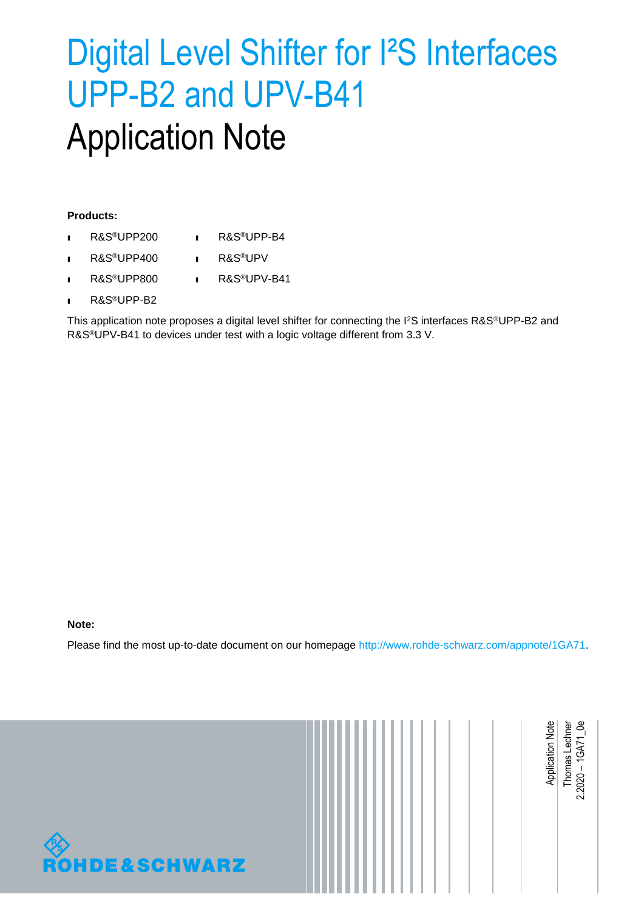# <span id="page-0-1"></span>Digital Level Shifter for I²S Interfaces UPP-B2 and UPV-B41 Application Note

#### **Products:**

- ı R&S®UPP200 ı R&S®UPP-B4
- ı R&S®UPP400 ı R&S®UPV
- ı R&S®UPP800 ı R&S®UPV-B41
- ı R&S®UPP-B2

This application note proposes a digital level shifter for connecting the I<sup>2</sup>S interfaces R&S®UPP-B2 and R&S®UPV-B41 to devices under test with a logic voltage different from 3.3 V.

#### **Note:**

<span id="page-0-0"></span>Please find the most up-to-date document on our homepage [http://www.rohde-schwarz.com/appnote/1GA71.](http://www.rohdeschwarz.com/appnote/1GA71)

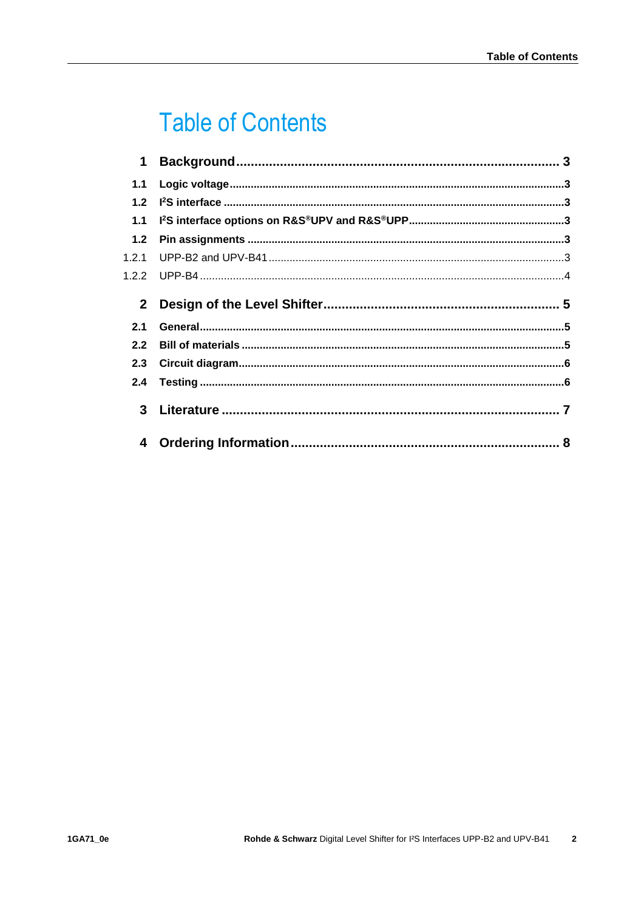## **Table of Contents**

| $\mathbf 1$  |  |
|--------------|--|
| 1.1          |  |
| 12           |  |
| 1.1          |  |
| 1.2          |  |
| 1.2.1        |  |
| 1.2.2        |  |
| $\mathbf{2}$ |  |
|              |  |
| 2.1          |  |
| 2.2          |  |
| 2.3          |  |
| 2.4          |  |
| 3            |  |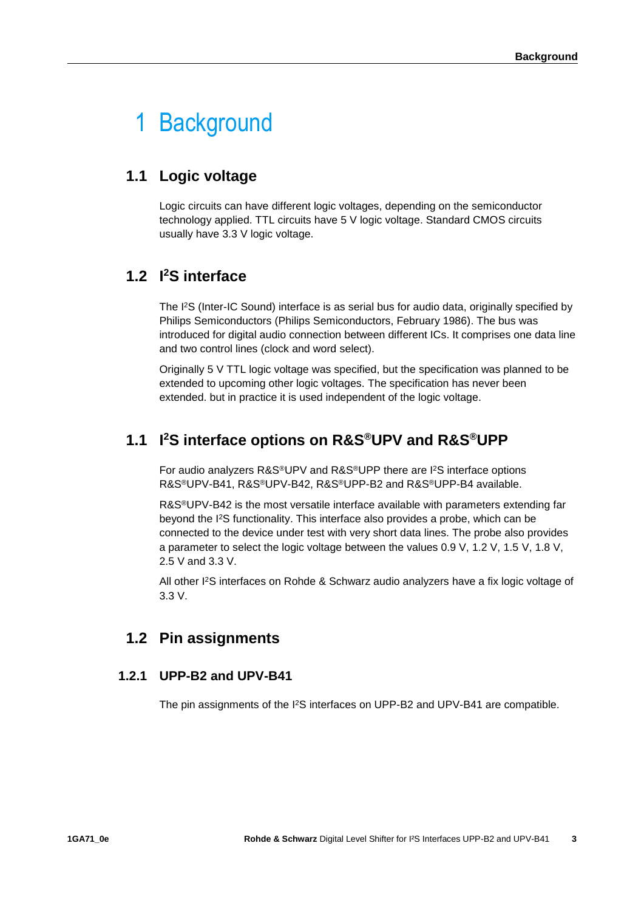## <span id="page-2-0"></span>1 Background

### <span id="page-2-1"></span>**1.1 Logic voltage**

Logic circuits can have different logic voltages, depending on the semiconductor technology applied. TTL circuits have 5 V logic voltage. Standard CMOS circuits usually have 3.3 V logic voltage.

### <span id="page-2-2"></span>**1.2 I <sup>2</sup>S interface**

The I<sup>2</sup>S (Inter-IC Sound) interface is as serial bus for audio data, originally specified by Philips Semiconductors (Philips Semiconductors, February 1986). The bus was introduced for digital audio connection between different ICs. It comprises one data line and two control lines (clock and word select).

Originally 5 V TTL logic voltage was specified, but the specification was planned to be extended to upcoming other logic voltages. The specification has never been extended. but in practice it is used independent of the logic voltage.

## <span id="page-2-3"></span>**1.1 I <sup>2</sup>S interface options on R&S®UPV and R&S®UPP**

For audio analyzers R&S®UPV and R&S®UPP there are I<sup>2</sup>S interface options R&S®UPV-B41, R&S®UPV-B42, R&S®UPP-B2 and R&S®UPP-B4 available.

R&S®UPV-B42 is the most versatile interface available with parameters extending far beyond the I<sup>2</sup>S functionality. This interface also provides a probe, which can be connected to the device under test with very short data lines. The probe also provides a parameter to select the logic voltage between the values 0.9 V, 1.2 V, 1.5 V, 1.8 V, 2.5 V and 3.3 V.

<span id="page-2-4"></span>All other I<sup>2</sup>S interfaces on Rohde & Schwarz audio analyzers have a fix logic voltage of 3.3 V.

### **1.2 Pin assignments**

### **1.2.1 UPP-B2 and UPV-B41**

<span id="page-2-5"></span>The pin assignments of the I2S interfaces on UPP-B2 and UPV-B41 are compatible.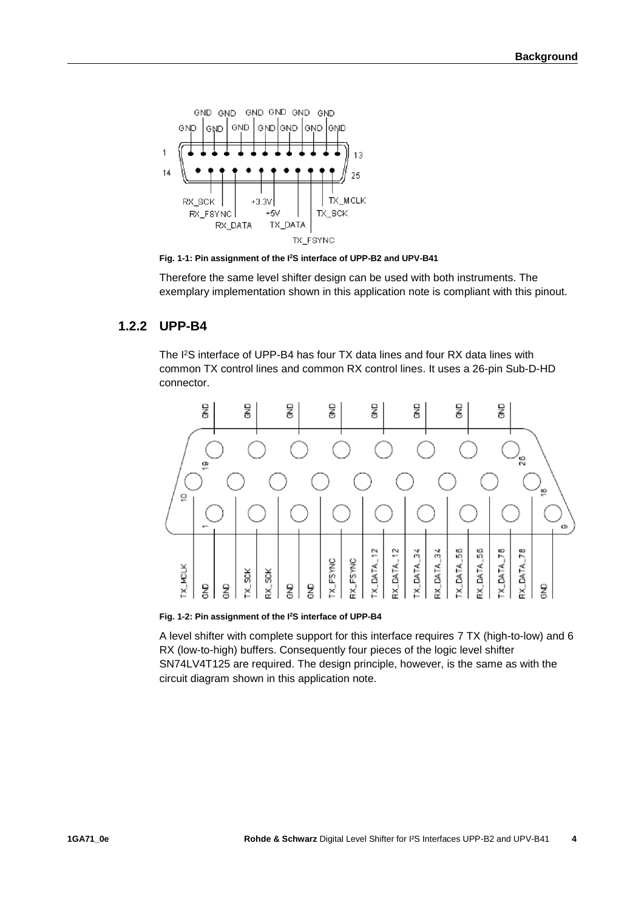

**Fig. 1-1: Pin assignment of the I<sup>2</sup>S interface of UPP-B2 and UPV-B41**

<span id="page-3-0"></span>Therefore the same level shifter design can be used with both instruments. The exemplary implementation shown in this application note is compliant with this pinout.

### **1.2.2 UPP-B4**

The I<sup>2</sup>S interface of UPP-B4 has four TX data lines and four RX data lines with common TX control lines and common RX control lines. It uses a 26-pin Sub-D-HD connector.



**Fig. 1-2: Pin assignment of the I <sup>2</sup>S interface of UPP-B4**

A level shifter with complete support for this interface requires 7 TX (high-to-low) and 6 RX (low-to-high) buffers. Consequently four pieces of the logic level shifter SN74LV4T125 are required. The design principle, however, is the same as with the circuit diagram shown in this application note.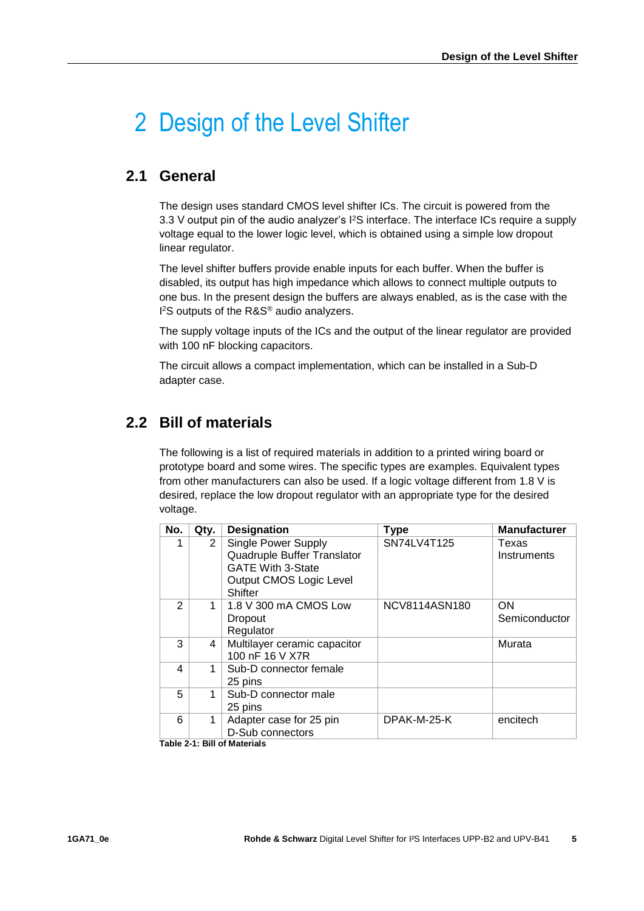## <span id="page-4-0"></span>2 Design of the Level Shifter

### <span id="page-4-1"></span>**2.1 General**

The design uses standard CMOS level shifter ICs. The circuit is powered from the 3.3 V output pin of the audio analyzer's I<sup>2</sup>S interface. The interface ICs require a supply voltage equal to the lower logic level, which is obtained using a simple low dropout linear regulator.

The level shifter buffers provide enable inputs for each buffer. When the buffer is disabled, its output has high impedance which allows to connect multiple outputs to one bus. In the present design the buffers are always enabled, as is the case with the I <sup>2</sup>S outputs of the R&S® audio analyzers.

The supply voltage inputs of the ICs and the output of the linear regulator are provided with 100 nF blocking capacitors.

<span id="page-4-2"></span>The circuit allows a compact implementation, which can be installed in a Sub-D adapter case.

### **2.2 Bill of materials**

The following is a list of required materials in addition to a printed wiring board or prototype board and some wires. The specific types are examples. Equivalent types from other manufacturers can also be used. If a logic voltage different from 1.8 V is desired, replace the low dropout regulator with an appropriate type for the desired voltage.

| No. | Qty. | <b>Designation</b>                                                                                                                 | <b>Type</b>   | <b>Manufacturer</b>  |
|-----|------|------------------------------------------------------------------------------------------------------------------------------------|---------------|----------------------|
|     | 2    | Single Power Supply<br>Quadruple Buffer Translator<br><b>GATE With 3-State</b><br><b>Output CMOS Logic Level</b><br><b>Shifter</b> | SN74LV4T125   | Texas<br>Instruments |
| 2   | 1    | 1.8 V 300 mA CMOS Low<br>Dropout<br>Regulator                                                                                      | NCV8114ASN180 | ON<br>Semiconductor  |
| 3   | 4    | Multilayer ceramic capacitor<br>100 nF 16 V X7R                                                                                    |               | Murata               |
| 4   | 1    | Sub-D connector female<br>25 pins                                                                                                  |               |                      |
| 5   | 1    | Sub-D connector male<br>25 pins                                                                                                    |               |                      |
| 6   | 1    | Adapter case for 25 pin<br>D-Sub connectors<br>Toble 2.4: Dill of Motoriale                                                        | DPAK-M-25-K   | encitech             |

**Table 2-1: Bill of Materials**

**5**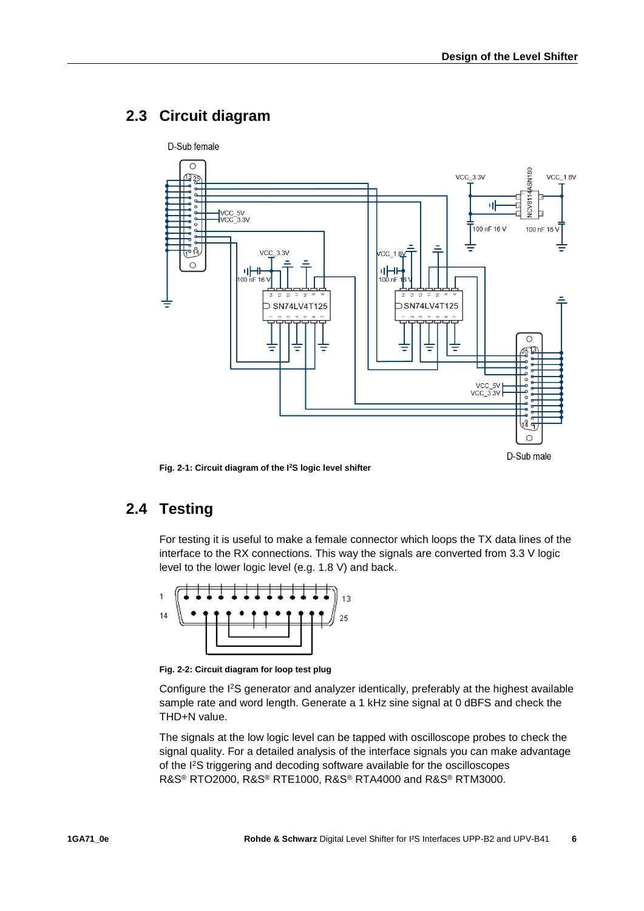### <span id="page-5-0"></span>**2.3 Circuit diagram**



<span id="page-5-1"></span>**Fig. 2-1: Circuit diagram of the I<sup>2</sup>S logic level shifter**

## **2.4 Testing**

For testing it is useful to make a female connector which loops the TX data lines of the interface to the RX connections. This way the signals are converted from 3.3 V logic level to the lower logic level (e.g. 1.8 V) and back.



**Fig. 2-2: Circuit diagram for loop test plug**

Configure the I<sup>2</sup>S generator and analyzer identically, preferably at the highest available sample rate and word length. Generate a 1 kHz sine signal at 0 dBFS and check the THD+N value.

The signals at the low logic level can be tapped with oscilloscope probes to check the signal quality. For a detailed analysis of the interface signals you can make advantage of the I<sup>2</sup>S triggering and decoding software available for the oscilloscopes R&S® RTO2000, R&S® RTE1000, R&S® RTA4000 and R&S® RTM3000.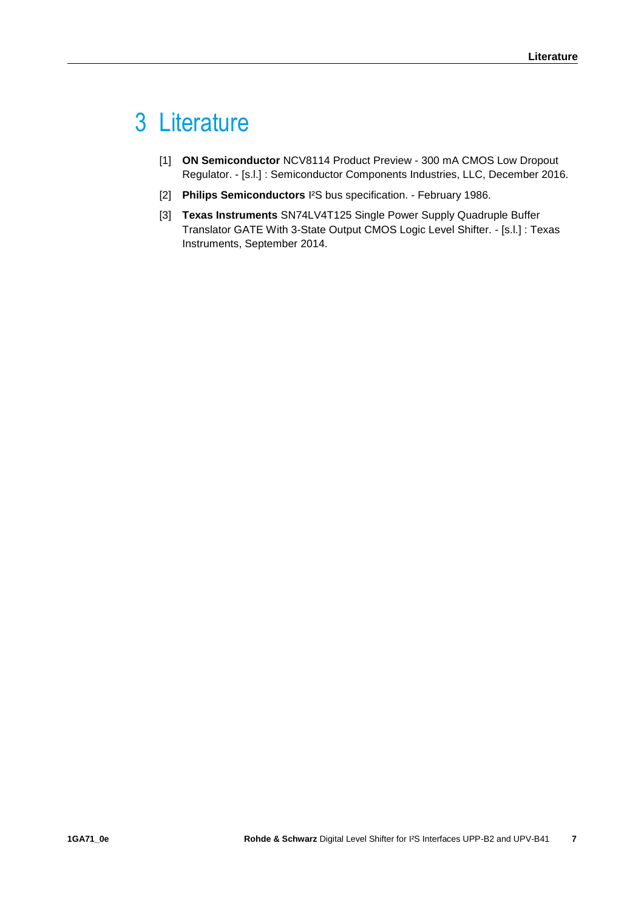## <span id="page-6-0"></span>3 Literature

- [1] **ON Semiconductor** NCV8114 Product Preview 300 mA CMOS Low Dropout Regulator. - [s.l.] : Semiconductor Components Industries, LLC, December 2016.
- [2] **Philips Semiconductors** I²S bus specification. February 1986.
- [3] **Texas Instruments** SN74LV4T125 Single Power Supply Quadruple Buffer Translator GATE With 3-State Output CMOS Logic Level Shifter. - [s.l.] : Texas Instruments, September 2014.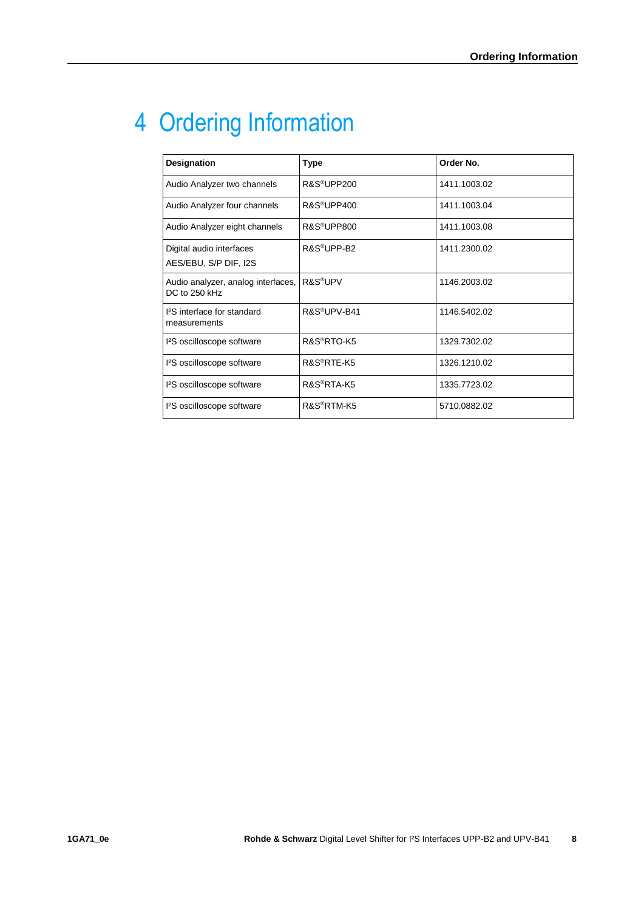## <span id="page-7-0"></span>4 Ordering Information

| Designation                                         | <b>Type</b>              | Order No.    |
|-----------------------------------------------------|--------------------------|--------------|
| Audio Analyzer two channels                         | R&S <sup>®</sup> UPP200  | 1411.1003.02 |
| Audio Analyzer four channels                        | R&S <sup>®</sup> UPP400  | 1411.1003.04 |
| Audio Analyzer eight channels                       | R&S <sup>®</sup> UPP800  | 1411.1003.08 |
| Digital audio interfaces<br>AES/EBU, S/P DIF, I2S   | R&S <sup>®</sup> UPP-B2  | 1411.2300.02 |
| Audio analyzer, analog interfaces,<br>DC to 250 kHz | R&S <sup>®</sup> UPV     | 1146.2003.02 |
| 12S interface for standard<br>measurements          | R&S <sup>®</sup> UPV-B41 | 1146.5402.02 |
| <sup>2</sup> S oscilloscope software                | R&S®RTO-K5               | 1329.7302.02 |
| <sup>2</sup> S oscilloscope software                | R&S <sup>®</sup> RTE-K5  | 1326.1210.02 |
| <sup>2</sup> S oscilloscope software                | R&S <sup>®</sup> RTA-K5  | 1335.7723.02 |
| <sup>2</sup> S oscilloscope software                | R&S <sup>®</sup> RTM-K5  | 5710.0882.02 |